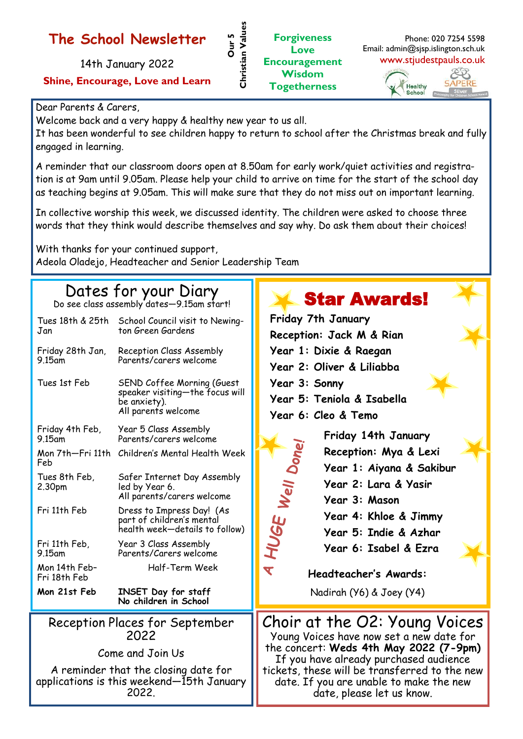#### **The School Newsletter**

14th January 2022 **Shine, Encourage, Love and Learn**

#### Dear Parents & Carers,

Welcome back and a very happy & healthy new year to us all.

It has been wonderful to see children happy to return to school after the Christmas break and fully engaged in learning.

**Our 5** 

**Christian Values**

Christian Values

A reminder that our classroom doors open at 8.50am for early work/quiet activities and registration is at 9am until 9.05am. Please help your child to arrive on time for the start of the school day as teaching begins at 9.05am. This will make sure that they do not miss out on important learning.

In collective worship this week, we discussed identity. The children were asked to choose three words that they think would describe themselves and say why. Do ask them about their choices!

With thanks for your continued support, Adeola Oladejo, Headteacher and Senior Leadership Team

## Dates for your Diary

Do see class assembly dates—9.15am start!

| Tues 18th & 25th<br>Jan                | School Council visit to Newing-<br>ton Green Gardens                                                 |
|----------------------------------------|------------------------------------------------------------------------------------------------------|
| Friday 28th Jan,<br>9.15am             | Reception Class Assembly<br>Parents/carers welcome                                                   |
| Tues 1st Feb                           | SEND Coffee Morning (Guest<br>speaker visiting—the focus will<br>be anxiety).<br>All parents welcome |
| Friday 4th Feb,<br>9.15am              | Year 5 Class Assembly<br>Parents/carers welcome                                                      |
| Mon 7th—Fri 11th<br>Feb                | Children's Mental Health Week                                                                        |
| Tues 8th Feb,<br>2.30pm                | Safer Internet Day Assembly<br>led by Year 6.<br>All parents/carers welcome                          |
| Fri 11th Feb                           | Dress to Impress Day! (As<br>part of children's mental<br>health week—details to follow)             |
| Fri 11th Feb,<br>9.15am                | Year 3 Class Assembly<br>Parents/Carers welcome                                                      |
| Mon 14th Feb-<br>Fri 18th Feb          | Half-Term Week                                                                                       |
| Mon 21st Feb                           | INSET Day for staff<br>No children in School                                                         |
| Reception Places for September<br>מרחר |                                                                                                      |

2022

Come and Join Us

A reminder that the closing date for applications is this weekend—15th January 2022.



date, please let us know.



Phone: 020 7254 5598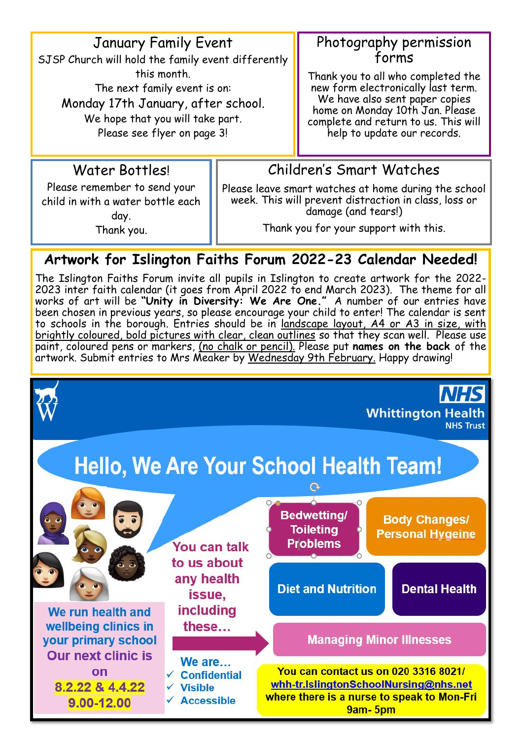January Family Event

SJSP Church will hold the family event differently this month. The next family event is on: Monday 17th January, after school. We hope that you will take part. Please see flyer on page 3!

#### Photography permission forms

Thank you to all who completed the new form electronically last term. We have also sent paper copies home on Monday 10th Jan. Please complete and return to us. This will help to update our records.

#### Water Bottles!

Please remember to send your child in with a water bottle each day. Thank you.

#### Children's Smart Watches

Please leave smart watches at home during the school week. This will prevent distraction in class, loss or damage (and tears!)

Thank you for your support with this.

### **Artwork for Islington Faiths Forum 2022-23 Calendar Needed!**

The Islington Faiths Forum invite all pupils in Islington to create artwork for the 2022- 2023 inter faith calendar (it goes from April 2022 to end March 2023). The theme for all works of art will be **"Unity in Diversity: We Are One."** A number of our entries have been chosen in previous years, so please encourage your child to enter! The calendar is sent to schools in the borough. Entries should be in landscape layout, A4 or A3 in size, with brightly coloured, bold pictures with clear, clean outlines so that they scan well. Please use paint, coloured pens or markers, (no chalk or pencil). Please put **names on the back** of the artwork. Submit entries to Mrs Meaker by <u>Wednesday 9th February.</u> Happy drawing!